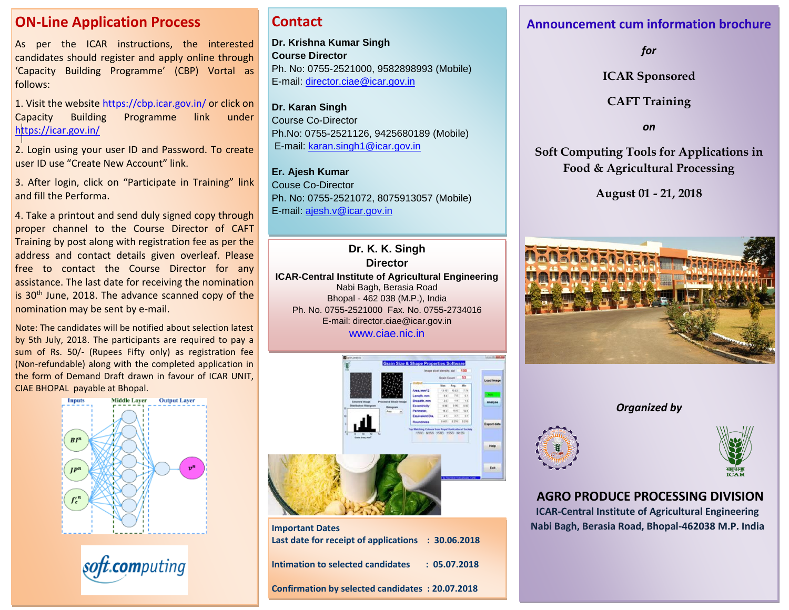### **ON-Line Application Process**

As per the ICAR instructions, the interested candidates should register and apply online through 'Capacity Building Programme' (CBP) Vortal as follows:

1. Visit the website https://cbp.icar.gov.in/ or click on Capacity Building Programme link under <https://icar.gov.in/>

2. Login using your user ID and Password. To create user ID use "Create New Account" link.

3. After login, click on "Participate in Training" link and fill the Performa.

4. Take a printout and send duly signed copy through proper channel to the Course Director of CAFT Training by post along with registration fee as per the address and contact details given overleaf. Please free to contact the Course Director for any assistance. The last date for receiving the nomination is 30<sup>th</sup> June, 2018. The advance scanned copy of the nomination may be sent by e-mail.

Note: The candidates will be notified about selection latest by 5th July, 2018. The participants are required to pay a sum of Rs. 50/- (Rupees Fifty only) as registration fee (Non-refundable) along with the completed application in the form of Demand Draft drawn in favour of ICAR UNIT, CIAE BHOPAL payable at Bhopal.



soft.computing

### **Contact**

**Dr. Krishna Kumar Singh Course Director** Ph. No: 0755-2521000, 9582898993 (Mobile) E-mail: [director.ciae@icar.gov.in](mailto:director.ciae@icar.gov.in)

**Dr. Karan Singh** Course Co-Director Ph.No: 0755-2521126, 9425680189 (Mobile) E-mail: [karan.singh1@icar.gov.in](mailto:karan.singh1@icar.gov.in)

**Er. Ajesh Kumar** Couse Co-Director Ph. No: 0755-2521072, 8075913057 (Mobile) E-mail: [ajesh.v@icar.gov.in](mailto:ajesh.v@icar.gov.in) 

**Nabibagh, Berasia Road, Bhopal - 462 038 Dr. K. K. Singh Director ICAR-Central Institute of Agricultural Engineering** Nabi Bagh, Berasia Road Bhopal - 462 038 (M.P.), India Ph. No. 0755-2521000 Fax. No. 0755-2734016 E-mail: director.ciae@icar.gov.in [www.ciae.nic.in](http://www.ciae.nic.in/)



| <b>Important Dates</b><br>Last date for receipt of applications : 30.06.2018 |              |
|------------------------------------------------------------------------------|--------------|
| Intimation to selected candidates                                            | : 05.07.2018 |
| <b>Confirmation by selected candidates : 20.07.2018</b>                      |              |

### **Announcement cum information brochure**

*for*

**ICAR Sponsored**

**CAFT Training**

*on*

**Soft Computing Tools for Applications in Food & Agricultural Processing**

**August 01 - 21, 2018**



*Organized by*





**AGRO PRODUCE PROCESSING DIVISION ICAR-Central Institute of Agricultural Engineering Nabi Bagh, Berasia Road, Bhopal-462038 M.P. India**